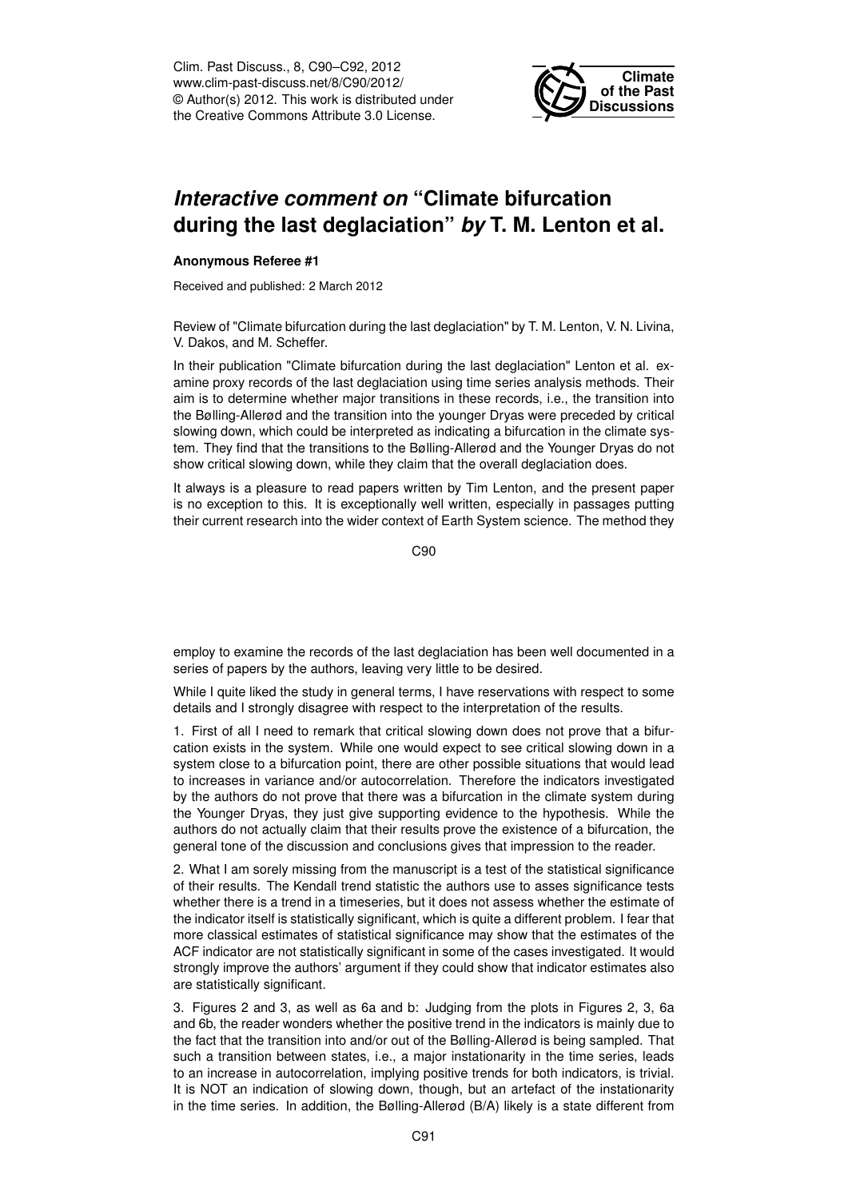Clim. Past Discuss., 8, C90–C92, 2012 www.clim-past-discuss.net/8/C90/2012/ © Author(s) 2012. This work is distributed under the Creative Commons Attribute 3.0 License.



## *Interactive comment on* **"Climate bifurcation during the last deglaciation"** *by* **T. M. Lenton et al.**

## **Anonymous Referee #1**

Received and published: 2 March 2012

Review of "Climate bifurcation during the last deglaciation" by T. M. Lenton, V. N. Livina, V. Dakos, and M. Scheffer.

In their publication "Climate bifurcation during the last deglaciation" Lenton et al. examine proxy records of the last deglaciation using time series analysis methods. Their aim is to determine whether major transitions in these records, i.e., the transition into the Bølling-Allerød and the transition into the younger Dryas were preceded by critical slowing down, which could be interpreted as indicating a bifurcation in the climate system. They find that the transitions to the Bølling-Allerød and the Younger Dryas do not show critical slowing down, while they claim that the overall deglaciation does.

It always is a pleasure to read papers written by Tim Lenton, and the present paper is no exception to this. It is exceptionally well written, especially in passages putting their current research into the wider context of Earth System science. The method they

C90

employ to examine the records of the last deglaciation has been well documented in a series of papers by the authors, leaving very little to be desired.

While I quite liked the study in general terms, I have reservations with respect to some details and I strongly disagree with respect to the interpretation of the results.

1. First of all I need to remark that critical slowing down does not prove that a bifurcation exists in the system. While one would expect to see critical slowing down in a system close to a bifurcation point, there are other possible situations that would lead to increases in variance and/or autocorrelation. Therefore the indicators investigated by the authors do not prove that there was a bifurcation in the climate system during the Younger Dryas, they just give supporting evidence to the hypothesis. While the authors do not actually claim that their results prove the existence of a bifurcation, the general tone of the discussion and conclusions gives that impression to the reader.

2. What I am sorely missing from the manuscript is a test of the statistical significance of their results. The Kendall trend statistic the authors use to asses significance tests whether there is a trend in a timeseries, but it does not assess whether the estimate of the indicator itself is statistically significant, which is quite a different problem. I fear that more classical estimates of statistical significance may show that the estimates of the ACF indicator are not statistically significant in some of the cases investigated. It would strongly improve the authors' argument if they could show that indicator estimates also are statistically significant.

3. Figures 2 and 3, as well as 6a and b: Judging from the plots in Figures 2, 3, 6a and 6b, the reader wonders whether the positive trend in the indicators is mainly due to the fact that the transition into and/or out of the Bølling-Allerød is being sampled. That such a transition between states, i.e., a major instationarity in the time series, leads to an increase in autocorrelation, implying positive trends for both indicators, is trivial. It is NOT an indication of slowing down, though, but an artefact of the instationarity in the time series. In addition, the Bølling-Allerød (B/A) likely is a state different from